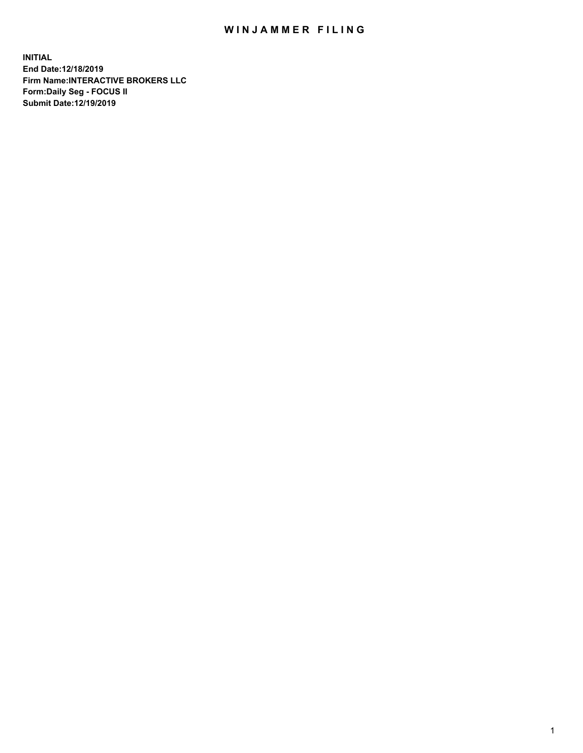## WIN JAMMER FILING

**INITIAL End Date:12/18/2019 Firm Name:INTERACTIVE BROKERS LLC Form:Daily Seg - FOCUS II Submit Date:12/19/2019**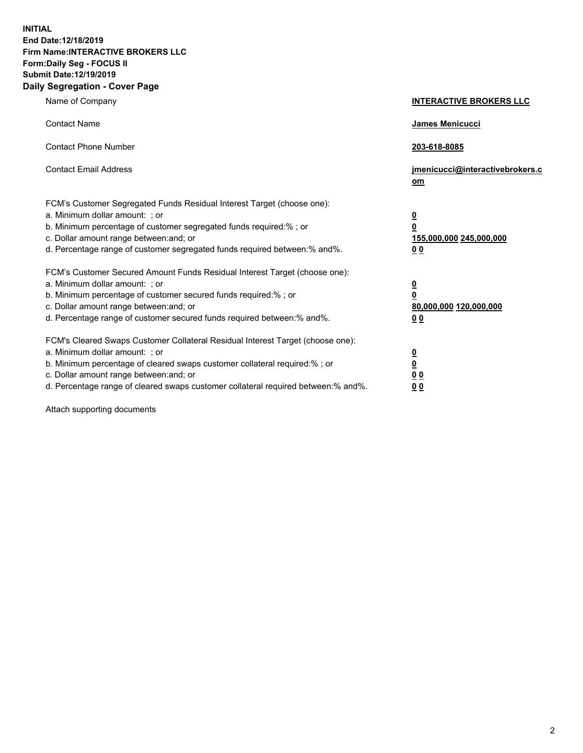**INITIAL End Date:12/18/2019 Firm Name:INTERACTIVE BROKERS LLC Form:Daily Seg - FOCUS II Submit Date:12/19/2019 Daily Segregation - Cover Page**

| Name of Company                                                                                                                                                                                                                                                                                                                | <b>INTERACTIVE BROKERS LLC</b>                                                                  |
|--------------------------------------------------------------------------------------------------------------------------------------------------------------------------------------------------------------------------------------------------------------------------------------------------------------------------------|-------------------------------------------------------------------------------------------------|
| <b>Contact Name</b>                                                                                                                                                                                                                                                                                                            | James Menicucci                                                                                 |
| <b>Contact Phone Number</b>                                                                                                                                                                                                                                                                                                    | 203-618-8085                                                                                    |
| <b>Contact Email Address</b>                                                                                                                                                                                                                                                                                                   | jmenicucci@interactivebrokers.c<br>om                                                           |
| FCM's Customer Segregated Funds Residual Interest Target (choose one):<br>a. Minimum dollar amount: ; or<br>b. Minimum percentage of customer segregated funds required:%; or<br>c. Dollar amount range between: and; or<br>d. Percentage range of customer segregated funds required between:% and%.                          | $\overline{\mathbf{0}}$<br>$\overline{\mathbf{0}}$<br>155,000,000 245,000,000<br>0 <sub>0</sub> |
| FCM's Customer Secured Amount Funds Residual Interest Target (choose one):<br>a. Minimum dollar amount: ; or<br>b. Minimum percentage of customer secured funds required:% ; or<br>c. Dollar amount range between: and; or<br>d. Percentage range of customer secured funds required between:% and%.                           | $\overline{\mathbf{0}}$<br>$\overline{\mathbf{0}}$<br>80,000,000 120,000,000<br>0 <sub>0</sub>  |
| FCM's Cleared Swaps Customer Collateral Residual Interest Target (choose one):<br>a. Minimum dollar amount: ; or<br>b. Minimum percentage of cleared swaps customer collateral required:% ; or<br>c. Dollar amount range between: and; or<br>d. Percentage range of cleared swaps customer collateral required between:% and%. | $\overline{\mathbf{0}}$<br>$\underline{\mathbf{0}}$<br>0 <sub>0</sub><br>0 <sub>0</sub>         |

Attach supporting documents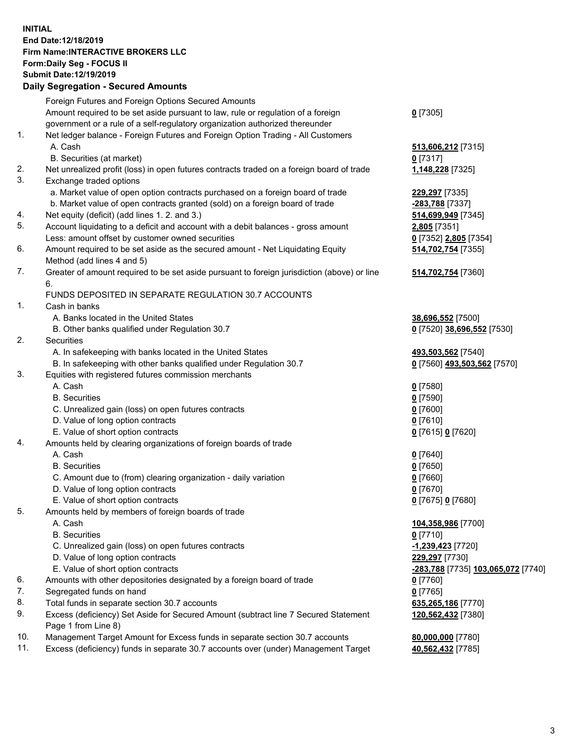## **INITIAL End Date:12/18/2019 Firm Name:INTERACTIVE BROKERS LLC Form:Daily Seg - FOCUS II Submit Date:12/19/2019**

|     | <b>Daily Segregation - Secured Amounts</b>                                                  |                                           |
|-----|---------------------------------------------------------------------------------------------|-------------------------------------------|
|     | Foreign Futures and Foreign Options Secured Amounts                                         |                                           |
|     | Amount required to be set aside pursuant to law, rule or regulation of a foreign            | $0$ [7305]                                |
|     | government or a rule of a self-regulatory organization authorized thereunder                |                                           |
| 1.  | Net ledger balance - Foreign Futures and Foreign Option Trading - All Customers             |                                           |
|     | A. Cash                                                                                     | 513,606,212 [7315]                        |
|     | B. Securities (at market)                                                                   | $0$ [7317]                                |
| 2.  | Net unrealized profit (loss) in open futures contracts traded on a foreign board of trade   | 1,148,228 [7325]                          |
| 3.  | Exchange traded options                                                                     |                                           |
|     | a. Market value of open option contracts purchased on a foreign board of trade              | 229,297 [7335]                            |
|     | b. Market value of open contracts granted (sold) on a foreign board of trade                | -283,788 [7337]                           |
| 4.  | Net equity (deficit) (add lines 1.2. and 3.)                                                | 514,699,949 [7345]                        |
| 5.  | Account liquidating to a deficit and account with a debit balances - gross amount           | 2,805 [7351]                              |
|     | Less: amount offset by customer owned securities                                            | 0 [7352] 2,805 [7354]                     |
| 6.  | Amount required to be set aside as the secured amount - Net Liquidating Equity              | 514,702,754 [7355]                        |
|     | Method (add lines 4 and 5)                                                                  |                                           |
| 7.  | Greater of amount required to be set aside pursuant to foreign jurisdiction (above) or line | 514,702,754 [7360]                        |
|     | 6.                                                                                          |                                           |
|     | FUNDS DEPOSITED IN SEPARATE REGULATION 30.7 ACCOUNTS                                        |                                           |
| 1.  | Cash in banks                                                                               |                                           |
|     | A. Banks located in the United States                                                       | 38,696,552 [7500]                         |
|     | B. Other banks qualified under Regulation 30.7                                              | 0 [7520] 38,696,552 [7530]                |
| 2.  | Securities                                                                                  |                                           |
|     | A. In safekeeping with banks located in the United States                                   | 493,503,562 [7540]                        |
|     | B. In safekeeping with other banks qualified under Regulation 30.7                          | 0 [7560] 493,503,562 [7570]               |
| 3.  | Equities with registered futures commission merchants                                       |                                           |
|     | A. Cash                                                                                     | $0$ [7580]                                |
|     | <b>B.</b> Securities                                                                        | $0$ [7590]                                |
|     | C. Unrealized gain (loss) on open futures contracts                                         | $0$ [7600]                                |
|     | D. Value of long option contracts                                                           | $0$ [7610]                                |
|     | E. Value of short option contracts                                                          | 0 [7615] 0 [7620]                         |
| 4.  | Amounts held by clearing organizations of foreign boards of trade                           |                                           |
|     | A. Cash                                                                                     | $0$ [7640]                                |
|     | <b>B.</b> Securities                                                                        | $0$ [7650]                                |
|     | C. Amount due to (from) clearing organization - daily variation                             | $0$ [7660]                                |
|     | D. Value of long option contracts                                                           | $0$ [7670]                                |
|     | E. Value of short option contracts                                                          | 0 [7675] 0 [7680]                         |
| 5.  | Amounts held by members of foreign boards of trade                                          |                                           |
|     | A. Cash                                                                                     | 104,358,986 [7700]                        |
|     | <b>B.</b> Securities                                                                        | $0$ [7710]                                |
|     | C. Unrealized gain (loss) on open futures contracts                                         | $-1,239,423$ [7720]                       |
|     | D. Value of long option contracts                                                           | 229,297 [7730]                            |
|     | E. Value of short option contracts                                                          | <u>-283,788</u> [7735] 103,065,072 [7740] |
| 6.  | Amounts with other depositories designated by a foreign board of trade                      | $0$ [7760]                                |
| 7.  | Segregated funds on hand                                                                    | $0$ [7765]                                |
| 8.  | Total funds in separate section 30.7 accounts                                               | 635,265,186 [7770]                        |
| 9.  | Excess (deficiency) Set Aside for Secured Amount (subtract line 7 Secured Statement         | 120,562,432 [7380]                        |
|     | Page 1 from Line 8)                                                                         |                                           |
| 10. | Management Target Amount for Excess funds in separate section 30.7 accounts                 | 80,000,000 [7780]                         |
| 11. | Excess (deficiency) funds in separate 30.7 accounts over (under) Management Target          | 40,562,432 [7785]                         |
|     |                                                                                             |                                           |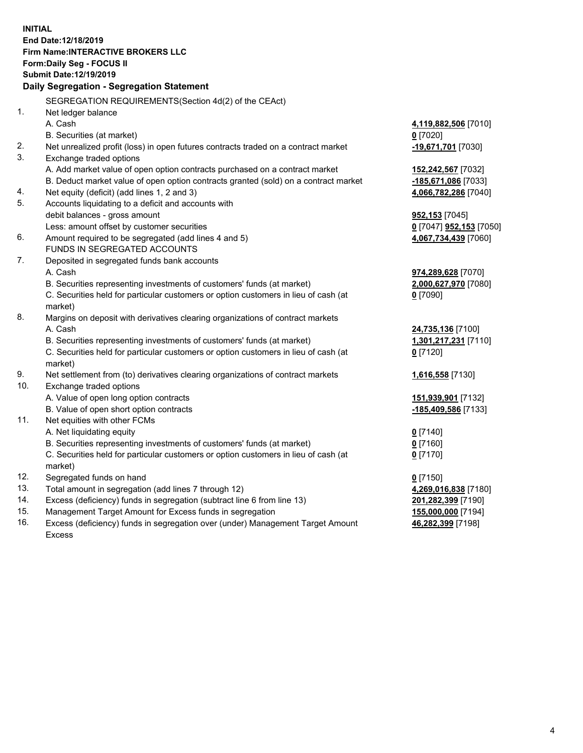**INITIAL End Date:12/18/2019 Firm Name:INTERACTIVE BROKERS LLC Form:Daily Seg - FOCUS II Submit Date:12/19/2019 Daily Segregation - Segregation Statement** SEGREGATION REQUIREMENTS(Section 4d(2) of the CEAct) 1. Net ledger balance A. Cash **4,119,882,506** [7010] B. Securities (at market) **0** [7020] 2. Net unrealized profit (loss) in open futures contracts traded on a contract market **-19,671,701** [7030] 3. Exchange traded options A. Add market value of open option contracts purchased on a contract market **152,242,567** [7032] B. Deduct market value of open option contracts granted (sold) on a contract market **-185,671,086** [7033] 4. Net equity (deficit) (add lines 1, 2 and 3) **4,066,782,286** [7040] 5. Accounts liquidating to a deficit and accounts with debit balances - gross amount **952,153** [7045] Less: amount offset by customer securities **0** [7047] **952,153** [7050] 6. Amount required to be segregated (add lines 4 and 5) **4,067,734,439** [7060] FUNDS IN SEGREGATED ACCOUNTS 7. Deposited in segregated funds bank accounts A. Cash **974,289,628** [7070] B. Securities representing investments of customers' funds (at market) **2,000,627,970** [7080] C. Securities held for particular customers or option customers in lieu of cash (at market) **0** [7090] 8. Margins on deposit with derivatives clearing organizations of contract markets A. Cash **24,735,136** [7100] B. Securities representing investments of customers' funds (at market) **1,301,217,231** [7110] C. Securities held for particular customers or option customers in lieu of cash (at market) **0** [7120] 9. Net settlement from (to) derivatives clearing organizations of contract markets **1,616,558** [7130] 10. Exchange traded options A. Value of open long option contracts **151,939,901** [7132] B. Value of open short option contracts **-185,409,586** [7133] 11. Net equities with other FCMs A. Net liquidating equity **0** [7140] B. Securities representing investments of customers' funds (at market) **0** [7160] C. Securities held for particular customers or option customers in lieu of cash (at market) **0** [7170] 12. Segregated funds on hand **0** [7150] 13. Total amount in segregation (add lines 7 through 12) **4,269,016,838** [7180] 14. Excess (deficiency) funds in segregation (subtract line 6 from line 13) **201,282,399** [7190] 15. Management Target Amount for Excess funds in segregation **155,000,000** [7194]

16. Excess (deficiency) funds in segregation over (under) Management Target Amount Excess

**46,282,399** [7198]